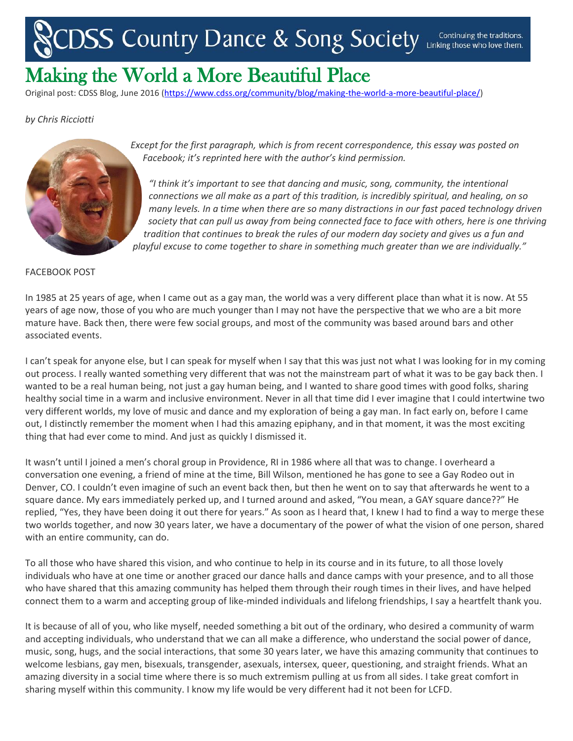## DSS Country Dance & Song Society Continuing the traditions.

## Making the World a More Beautiful Place

Original post: CDSS Blog, June 2016 [\(https://www.cdss.org/community/blog/making-the-world-a-more-beautiful-place/\)](https://www.cdss.org/community/blog/making-the-world-a-more-beautiful-place/)

## *by Chris Ricciotti*



*Except for the first paragraph, which is from recent correspondence, this essay was posted on Facebook; it's reprinted here with the author's kind permission.*

*"I think it's important to see that dancing and music, song, community, the intentional connections we all make as a part of this tradition, is incredibly spiritual, and healing, on so many levels. In a time when there are so many distractions in our fast paced technology driven society that can pull us away from being connected face to face with others, here is one thriving tradition that continues to break the rules of our modern day society and gives us a fun and playful excuse to come together to share in something much greater than we are individually."*

## FACEBOOK POST

In 1985 at 25 years of age, when I came out as a gay man, the world was a very different place than what it is now. At 55 years of age now, those of you who are much younger than I may not have the perspective that we who are a bit more mature have. Back then, there were few social groups, and most of the community was based around bars and other associated events.

I can't speak for anyone else, but I can speak for myself when I say that this was just not what I was looking for in my coming out process. I really wanted something very different that was not the mainstream part of what it was to be gay back then. I wanted to be a real human being, not just a gay human being, and I wanted to share good times with good folks, sharing healthy social time in a warm and inclusive environment. Never in all that time did I ever imagine that I could intertwine two very different worlds, my love of music and dance and my exploration of being a gay man. In fact early on, before I came out, I distinctly remember the moment when I had this amazing epiphany, and in that moment, it was the most exciting thing that had ever come to mind. And just as quickly I dismissed it.

It wasn't until I joined a men's choral group in Providence, RI in 1986 where all that was to change. I overheard a conversation one evening, a friend of mine at the time, Bill Wilson, mentioned he has gone to see a Gay Rodeo out in Denver, CO. I couldn't even imagine of such an event back then, but then he went on to say that afterwards he went to a square dance. My ears immediately perked up, and I turned around and asked, "You mean, a GAY square dance??" He replied, "Yes, they have been doing it out there for years." As soon as I heard that, I knew I had to find a way to merge these two worlds together, and now 30 years later, we have a documentary of the power of what the vision of one person, shared with an entire community, can do.

To all those who have shared this vision, and who continue to help in its course and in its future, to all those lovely individuals who have at one time or another graced our dance halls and dance camps with your presence, and to all those who have shared that this amazing community has helped them through their rough times in their lives, and have helped connect them to a warm and accepting group of like-minded individuals and lifelong friendships, I say a heartfelt thank you.

It is because of all of you, who like myself, needed something a bit out of the ordinary, who desired a community of warm and accepting individuals, who understand that we can all make a difference, who understand the social power of dance, music, song, hugs, and the social interactions, that some 30 years later, we have this amazing community that continues to welcome lesbians, gay men, bisexuals, transgender, asexuals, intersex, queer, questioning, and straight friends. What an amazing diversity in a social time where there is so much extremism pulling at us from all sides. I take great comfort in sharing myself within this community. I know my life would be very different had it not been for LCFD.